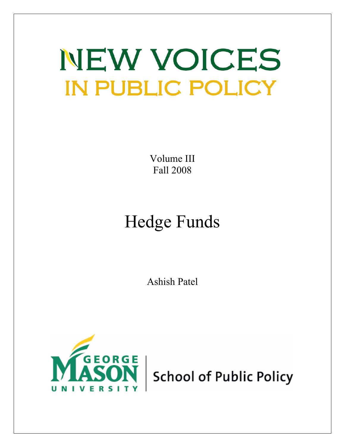# NEW VOICES **IN PUBLIC POLICY**

Volume III Fall 2008

## Hedge Funds

Ashish Patel



**School of Public Policy**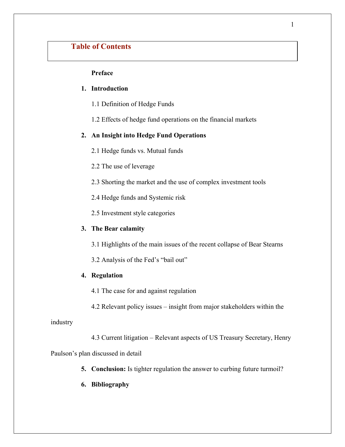## **Table of Contents**

## **Preface**

## **1. Introduction**

- 1.1 Definition of Hedge Funds
- 1.2 Effects of hedge fund operations on the financial markets

## **2. An Insight into Hedge Fund Operations**

- 2.1 Hedge funds vs. Mutual funds
- 2.2 The use of leverage
- 2.3 Shorting the market and the use of complex investment tools
- 2.4 Hedge funds and Systemic risk
- 2.5 Investment style categories

#### **3. The Bear calamity**

- 3.1 Highlights of the main issues of the recent collapse of Bear Stearns
- 3.2 Analysis of the Fed's "bail out"

#### **4. Regulation**

- 4.1 The case for and against regulation
- 4.2 Relevant policy issues insight from major stakeholders within the

industry

4.3 Current litigation – Relevant aspects of US Treasury Secretary, Henry

Paulson's plan discussed in detail

- **5. Conclusion:** Is tighter regulation the answer to curbing future turmoil?
- **6. Bibliography**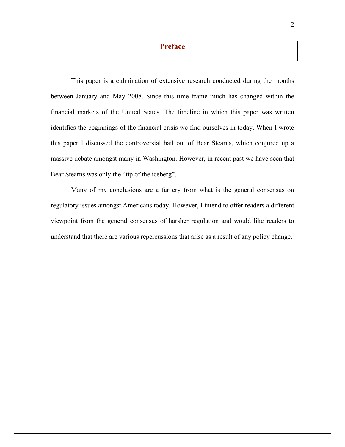## **Preface**

This paper is a culmination of extensive research conducted during the months between January and May 2008. Since this time frame much has changed within the financial markets of the United States. The timeline in which this paper was written identifies the beginnings of the financial crisis we find ourselves in today. When I wrote this paper I discussed the controversial bail out of Bear Stearns, which conjured up a massive debate amongst many in Washington. However, in recent past we have seen that Bear Stearns was only the "tip of the iceberg".

Many of my conclusions are a far cry from what is the general consensus on regulatory issues amongst Americans today. However, I intend to offer readers a different viewpoint from the general consensus of harsher regulation and would like readers to understand that there are various repercussions that arise as a result of any policy change.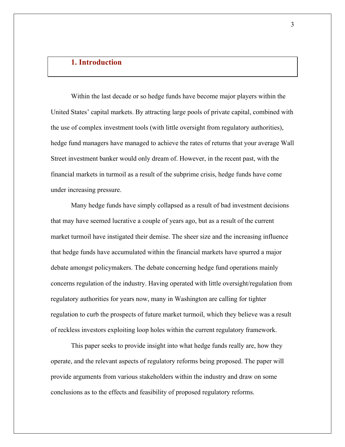## **1. Introduction**

Within the last decade or so hedge funds have become major players within the United States' capital markets. By attracting large pools of private capital, combined with the use of complex investment tools (with little oversight from regulatory authorities), hedge fund managers have managed to achieve the rates of returns that your average Wall Street investment banker would only dream of. However, in the recent past, with the financial markets in turmoil as a result of the subprime crisis, hedge funds have come under increasing pressure.

Many hedge funds have simply collapsed as a result of bad investment decisions that may have seemed lucrative a couple of years ago, but as a result of the current market turmoil have instigated their demise. The sheer size and the increasing influence that hedge funds have accumulated within the financial markets have spurred a major debate amongst policymakers. The debate concerning hedge fund operations mainly concerns regulation of the industry. Having operated with little oversight/regulation from regulatory authorities for years now, many in Washington are calling for tighter regulation to curb the prospects of future market turmoil, which they believe was a result of reckless investors exploiting loop holes within the current regulatory framework.

This paper seeks to provide insight into what hedge funds really are, how they operate, and the relevant aspects of regulatory reforms being proposed. The paper will provide arguments from various stakeholders within the industry and draw on some conclusions as to the effects and feasibility of proposed regulatory reforms.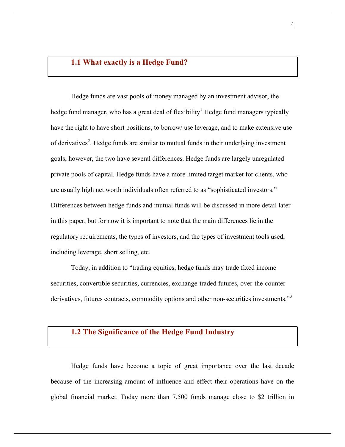## **1.1 What exactly is a Hedge Fund?**

Hedge funds are vast pools of money managed by an investment advisor, the hedge fund manager, who has a great deal of flexibility<sup>1</sup> Hedge fund managers typically have the right to have short positions, to borrow/ use leverage, and to make extensive use of derivatives<sup>2</sup>. Hedge funds are similar to mutual funds in their underlying investment goals; however, the two have several differences. Hedge funds are largely unregulated private pools of capital. Hedge funds have a more limited target market for clients, who are usually high net worth individuals often referred to as "sophisticated investors." Differences between hedge funds and mutual funds will be discussed in more detail later in this paper, but for now it is important to note that the main differences lie in the regulatory requirements, the types of investors, and the types of investment tools used, including leverage, short selling, etc.

Today, in addition to "trading equities, hedge funds may trade fixed income securities, convertible securities, currencies, exchange-traded futures, over-the-counter derivatives, futures contracts, commodity options and other non-securities investments."<sup>3</sup>

## **1.2 The Significance of the Hedge Fund Industry**

Hedge funds have become a topic of great importance over the last decade because of the increasing amount of influence and effect their operations have on the global financial market. Today more than 7,500 funds manage close to \$2 trillion in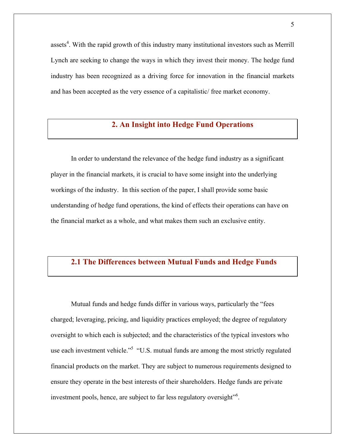assets<sup>4</sup>. With the rapid growth of this industry many institutional investors such as Merrill Lynch are seeking to change the ways in which they invest their money. The hedge fund industry has been recognized as a driving force for innovation in the financial markets and has been accepted as the very essence of a capitalistic/ free market economy.

## **2. An Insight into Hedge Fund Operations**

In order to understand the relevance of the hedge fund industry as a significant player in the financial markets, it is crucial to have some insight into the underlying workings of the industry. In this section of the paper, I shall provide some basic understanding of hedge fund operations, the kind of effects their operations can have on the financial market as a whole, and what makes them such an exclusive entity.

## **2.1 The Differences between Mutual Funds and Hedge Funds**

Mutual funds and hedge funds differ in various ways, particularly the "fees charged; leveraging, pricing, and liquidity practices employed; the degree of regulatory oversight to which each is subjected; and the characteristics of the typical investors who use each investment vehicle."<sup>5</sup> "U.S. mutual funds are among the most strictly regulated financial products on the market. They are subject to numerous requirements designed to ensure they operate in the best interests of their shareholders. Hedge funds are private investment pools, hence, are subject to far less regulatory oversight"<sup>6</sup>.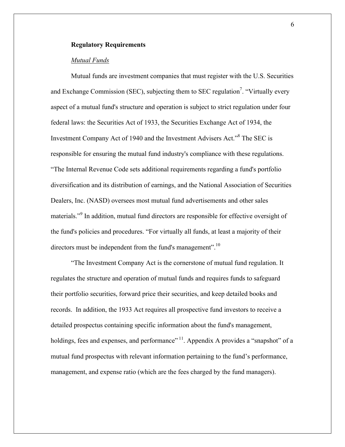## **Regulatory Requirements**

## *Mutual Funds*

Mutual funds are investment companies that must register with the U.S. Securities and Exchange Commission (SEC), subjecting them to SEC regulation<sup>7</sup>. "Virtually every aspect of a mutual fund's structure and operation is subject to strict regulation under four federal laws: the Securities Act of 1933, the Securities Exchange Act of 1934, the Investment Company Act of 1940 and the Investment Advisers Act."8 The SEC is responsible for ensuring the mutual fund industry's compliance with these regulations. "The Internal Revenue Code sets additional requirements regarding a fund's portfolio diversification and its distribution of earnings, and the National Association of Securities Dealers, Inc. (NASD) oversees most mutual fund advertisements and other sales materials."<sup>9</sup> In addition, mutual fund directors are responsible for effective oversight of the fund's policies and procedures. "For virtually all funds, at least a majority of their directors must be independent from the fund's management".<sup>10</sup>

"The Investment Company Act is the cornerstone of mutual fund regulation. It regulates the structure and operation of mutual funds and requires funds to safeguard their portfolio securities, forward price their securities, and keep detailed books and records. In addition, the 1933 Act requires all prospective fund investors to receive a detailed prospectus containing specific information about the fund's management, holdings, fees and expenses, and performance"  $\frac{11}{1}$ . Appendix A provides a "snapshot" of a mutual fund prospectus with relevant information pertaining to the fund's performance, management, and expense ratio (which are the fees charged by the fund managers).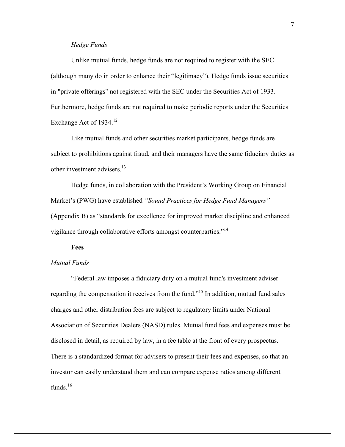## *Hedge Funds*

Unlike mutual funds, hedge funds are not required to register with the SEC (although many do in order to enhance their "legitimacy"). Hedge funds issue securities in "private offerings" not registered with the SEC under the Securities Act of 1933. Furthermore, hedge funds are not required to make periodic reports under the Securities Exchange Act of 1934.<sup>12</sup>

Like mutual funds and other securities market participants, hedge funds are subject to prohibitions against fraud, and their managers have the same fiduciary duties as other investment advisers.<sup>13</sup>

Hedge funds, in collaboration with the President's Working Group on Financial Market's (PWG) have established *"Sound Practices for Hedge Fund Managers"* (Appendix B) as "standards for excellence for improved market discipline and enhanced vigilance through collaborative efforts amongst counterparties."<sup>14</sup>

## **Fees**

#### *Mutual Funds*

"Federal law imposes a fiduciary duty on a mutual fund's investment adviser regarding the compensation it receives from the fund."15 In addition, mutual fund sales charges and other distribution fees are subject to regulatory limits under National Association of Securities Dealers (NASD) rules. Mutual fund fees and expenses must be disclosed in detail, as required by law, in a fee table at the front of every prospectus. There is a standardized format for advisers to present their fees and expenses, so that an investor can easily understand them and can compare expense ratios among different funds.<sup>16</sup>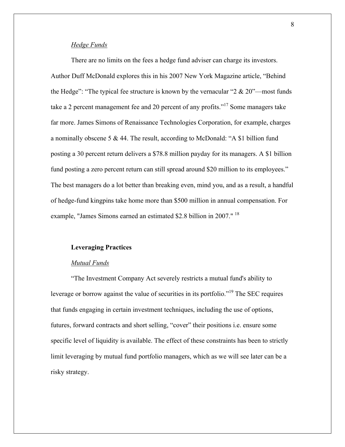## *Hedge Funds*

There are no limits on the fees a hedge fund adviser can charge its investors. Author Duff McDonald explores this in his 2007 New York Magazine article, "Behind the Hedge": "The typical fee structure is known by the vernacular " $2 \& 20$ "—most funds take a 2 percent management fee and 20 percent of any profits."17 Some managers take far more. James Simons of Renaissance Technologies Corporation, for example, charges a nominally obscene 5  $\&$  44. The result, according to McDonald: "A \$1 billion fund posting a 30 percent return delivers a \$78.8 million payday for its managers. A \$1 billion fund posting a zero percent return can still spread around \$20 million to its employees." The best managers do a lot better than breaking even, mind you, and as a result, a handful of hedge-fund kingpins take home more than \$500 million in annual compensation. For example, "James Simons earned an estimated \$2.8 billion in 2007." <sup>18</sup>

#### **Leveraging Practices**

## *Mutual Funds*

"The Investment Company Act severely restricts a mutual fund's ability to leverage or borrow against the value of securities in its portfolio."<sup>19</sup> The SEC requires that funds engaging in certain investment techniques, including the use of options, futures, forward contracts and short selling, "cover" their positions i.e. ensure some specific level of liquidity is available. The effect of these constraints has been to strictly limit leveraging by mutual fund portfolio managers, which as we will see later can be a risky strategy.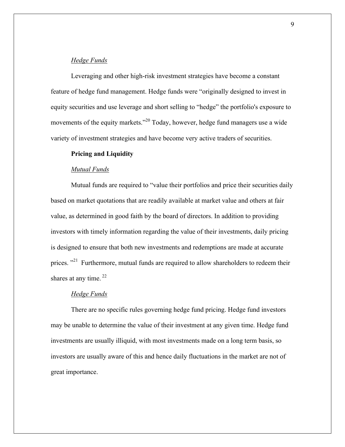## *Hedge Funds*

Leveraging and other high-risk investment strategies have become a constant feature of hedge fund management. Hedge funds were "originally designed to invest in equity securities and use leverage and short selling to "hedge" the portfolio's exposure to movements of the equity markets."<sup>20</sup> Today, however, hedge fund managers use a wide variety of investment strategies and have become very active traders of securities.

## **Pricing and Liquidity**

#### *Mutual Funds*

Mutual funds are required to "value their portfolios and price their securities daily based on market quotations that are readily available at market value and others at fair value, as determined in good faith by the board of directors. In addition to providing investors with timely information regarding the value of their investments, daily pricing is designed to ensure that both new investments and redemptions are made at accurate prices. "<sup>21</sup> Furthermore, mutual funds are required to allow shareholders to redeem their shares at any time.  $22$ 

## *Hedge Funds*

There are no specific rules governing hedge fund pricing. Hedge fund investors may be unable to determine the value of their investment at any given time. Hedge fund investments are usually illiquid, with most investments made on a long term basis, so investors are usually aware of this and hence daily fluctuations in the market are not of great importance.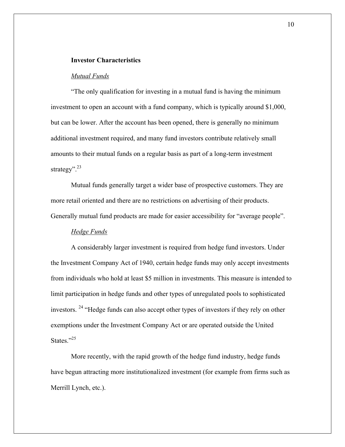#### **Investor Characteristics**

#### *Mutual Funds*

"The only qualification for investing in a mutual fund is having the minimum investment to open an account with a fund company, which is typically around \$1,000, but can be lower. After the account has been opened, there is generally no minimum additional investment required, and many fund investors contribute relatively small amounts to their mutual funds on a regular basis as part of a long-term investment strategy". $^{23}$ 

Mutual funds generally target a wider base of prospective customers. They are more retail oriented and there are no restrictions on advertising of their products. Generally mutual fund products are made for easier accessibility for "average people".

## *Hedge Funds*

A considerably larger investment is required from hedge fund investors. Under the Investment Company Act of 1940, certain hedge funds may only accept investments from individuals who hold at least \$5 million in investments. This measure is intended to limit participation in hedge funds and other types of unregulated pools to sophisticated investors. <sup>24</sup> "Hedge funds can also accept other types of investors if they rely on other exemptions under the Investment Company Act or are operated outside the United States<sup>"25</sup>

More recently, with the rapid growth of the hedge fund industry, hedge funds have begun attracting more institutionalized investment (for example from firms such as Merrill Lynch, etc.).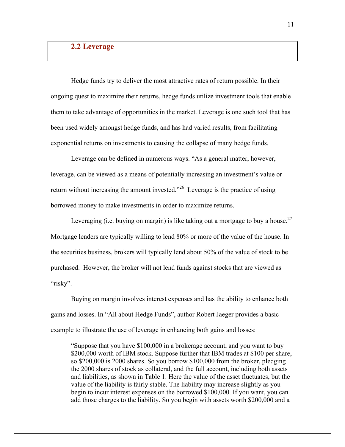## **2.2 Leverage**

Hedge funds try to deliver the most attractive rates of return possible. In their ongoing quest to maximize their returns, hedge funds utilize investment tools that enable them to take advantage of opportunities in the market. Leverage is one such tool that has been used widely amongst hedge funds, and has had varied results, from facilitating exponential returns on investments to causing the collapse of many hedge funds.

Leverage can be defined in numerous ways. "As a general matter, however, leverage, can be viewed as a means of potentially increasing an investment's value or return without increasing the amount invested."<sup>26</sup> Leverage is the practice of using borrowed money to make investments in order to maximize returns.

Leveraging (i.e. buying on margin) is like taking out a mortgage to buy a house.<sup>27</sup> Mortgage lenders are typically willing to lend 80% or more of the value of the house. In the securities business, brokers will typically lend about 50% of the value of stock to be purchased. However, the broker will not lend funds against stocks that are viewed as "risky".

Buying on margin involves interest expenses and has the ability to enhance both gains and losses. In "All about Hedge Funds", author Robert Jaeger provides a basic example to illustrate the use of leverage in enhancing both gains and losses:

"Suppose that you have \$100,000 in a brokerage account, and you want to buy \$200,000 worth of IBM stock. Suppose further that IBM trades at \$100 per share, so \$200,000 is 2000 shares. So you borrow \$100,000 from the broker, pledging the 2000 shares of stock as collateral, and the full account, including both assets and liabilities, as shown in Table 1. Here the value of the asset fluctuates, but the value of the liability is fairly stable. The liability may increase slightly as you begin to incur interest expenses on the borrowed \$100,000. If you want, you can add those charges to the liability. So you begin with assets worth \$200,000 and a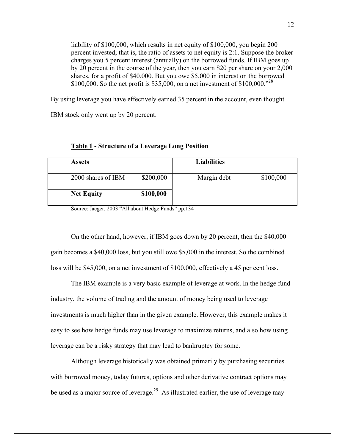liability of \$100,000, which results in net equity of \$100,000, you begin 200 percent invested; that is, the ratio of assets to net equity is 2:1. Suppose the broker charges you 5 percent interest (annually) on the borrowed funds. If IBM goes up by 20 percent in the course of the year, then you earn \$20 per share on your 2,000 shares, for a profit of \$40,000. But you owe \$5,000 in interest on the borrowed \$100,000. So the net profit is \$35,000, on a net investment of \$100,000."<sup>28</sup>

By using leverage you have effectively earned 35 percent in the account, even thought

IBM stock only went up by 20 percent.

| <b>Assets</b>      |           | <b>Liabilities</b> |           |
|--------------------|-----------|--------------------|-----------|
| 2000 shares of IBM | \$200,000 | Margin debt        | \$100,000 |
| <b>Net Equity</b>  | \$100,000 |                    |           |

#### **Table 1 - Structure of a Leverage Long Position**

Source: Jaeger, 2003 "All about Hedge Funds" pp.134

On the other hand, however, if IBM goes down by 20 percent, then the \$40,000 gain becomes a \$40,000 loss, but you still owe \$5,000 in the interest. So the combined loss will be \$45,000, on a net investment of \$100,000, effectively a 45 per cent loss.

The IBM example is a very basic example of leverage at work. In the hedge fund industry, the volume of trading and the amount of money being used to leverage investments is much higher than in the given example. However, this example makes it easy to see how hedge funds may use leverage to maximize returns, and also how using leverage can be a risky strategy that may lead to bankruptcy for some.

Although leverage historically was obtained primarily by purchasing securities with borrowed money, today futures, options and other derivative contract options may be used as a major source of leverage.<sup>29</sup> As illustrated earlier, the use of leverage may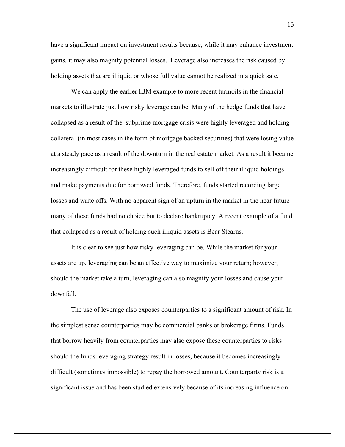have a significant impact on investment results because, while it may enhance investment gains, it may also magnify potential losses. Leverage also increases the risk caused by holding assets that are illiquid or whose full value cannot be realized in a quick sale.

We can apply the earlier IBM example to more recent turmoils in the financial markets to illustrate just how risky leverage can be. Many of the hedge funds that have collapsed as a result of the subprime mortgage crisis were highly leveraged and holding collateral (in most cases in the form of mortgage backed securities) that were losing value at a steady pace as a result of the downturn in the real estate market. As a result it became increasingly difficult for these highly leveraged funds to sell off their illiquid holdings and make payments due for borrowed funds. Therefore, funds started recording large losses and write offs. With no apparent sign of an upturn in the market in the near future many of these funds had no choice but to declare bankruptcy. A recent example of a fund that collapsed as a result of holding such illiquid assets is Bear Stearns.

It is clear to see just how risky leveraging can be. While the market for your assets are up, leveraging can be an effective way to maximize your return; however, should the market take a turn, leveraging can also magnify your losses and cause your downfall.

The use of leverage also exposes counterparties to a significant amount of risk. In the simplest sense counterparties may be commercial banks or brokerage firms. Funds that borrow heavily from counterparties may also expose these counterparties to risks should the funds leveraging strategy result in losses, because it becomes increasingly difficult (sometimes impossible) to repay the borrowed amount. Counterparty risk is a significant issue and has been studied extensively because of its increasing influence on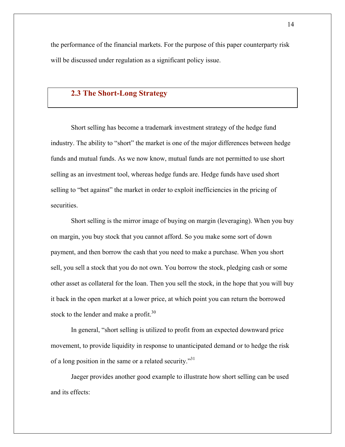the performance of the financial markets. For the purpose of this paper counterparty risk will be discussed under regulation as a significant policy issue.

## **2.3 The Short-Long Strategy**

Short selling has become a trademark investment strategy of the hedge fund industry. The ability to "short" the market is one of the major differences between hedge funds and mutual funds. As we now know, mutual funds are not permitted to use short selling as an investment tool, whereas hedge funds are. Hedge funds have used short selling to "bet against" the market in order to exploit inefficiencies in the pricing of securities.

Short selling is the mirror image of buying on margin (leveraging). When you buy on margin, you buy stock that you cannot afford. So you make some sort of down payment, and then borrow the cash that you need to make a purchase. When you short sell, you sell a stock that you do not own. You borrow the stock, pledging cash or some other asset as collateral for the loan. Then you sell the stock, in the hope that you will buy it back in the open market at a lower price, at which point you can return the borrowed stock to the lender and make a profit.<sup>30</sup>

In general, "short selling is utilized to profit from an expected downward price movement, to provide liquidity in response to unanticipated demand or to hedge the risk of a long position in the same or a related security."<sup>31</sup>

Jaeger provides another good example to illustrate how short selling can be used and its effects: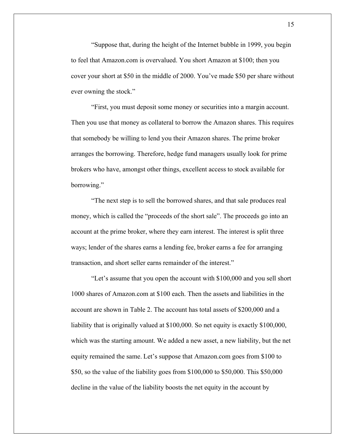"Suppose that, during the height of the Internet bubble in 1999, you begin to feel that Amazon.com is overvalued. You short Amazon at \$100; then you cover your short at \$50 in the middle of 2000. You've made \$50 per share without ever owning the stock."

"First, you must deposit some money or securities into a margin account. Then you use that money as collateral to borrow the Amazon shares. This requires that somebody be willing to lend you their Amazon shares. The prime broker arranges the borrowing. Therefore, hedge fund managers usually look for prime brokers who have, amongst other things, excellent access to stock available for borrowing."

"The next step is to sell the borrowed shares, and that sale produces real money, which is called the "proceeds of the short sale". The proceeds go into an account at the prime broker, where they earn interest. The interest is split three ways; lender of the shares earns a lending fee, broker earns a fee for arranging transaction, and short seller earns remainder of the interest."

"Let's assume that you open the account with \$100,000 and you sell short 1000 shares of Amazon.com at \$100 each. Then the assets and liabilities in the account are shown in Table 2. The account has total assets of \$200,000 and a liability that is originally valued at \$100,000. So net equity is exactly \$100,000, which was the starting amount. We added a new asset, a new liability, but the net equity remained the same. Let's suppose that Amazon.com goes from \$100 to \$50, so the value of the liability goes from \$100,000 to \$50,000. This \$50,000 decline in the value of the liability boosts the net equity in the account by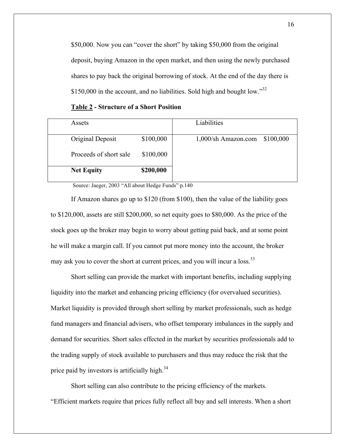\$50,000. Now you can "cover the short" by taking \$50,000 from the original deposit, buying Amazon in the open market, and then using the newly purchased shares to pay back the original borrowing of stock. At the end of the day there is \$150,000 in the account, and no liabilities. Sold high and bought low." $32$ 

| Assets                 |           | Liabilities                      |
|------------------------|-----------|----------------------------------|
| Original Deposit       | \$100,000 | \$100,000<br>1,000/sh Amazon.com |
| Proceeds of short sale | \$100,000 |                                  |
| <b>Net Equity</b>      | \$200,000 |                                  |

**Table 2 - Structure of a Short Position**

Source: Jaeger, 2003 "All about Hedge Funds" p.140

If Amazon shares go up to \$120 (from \$100), then the value of the liability goes to \$120,000, assets are still \$200,000, so net equity goes to \$80,000. As the price of the stock goes up the broker may begin to worry about getting paid back, and at some point he will make a margin call. If you cannot put more money into the account, the broker may ask you to cover the short at current prices, and you will incur a loss.<sup>33</sup>

Short selling can provide the market with important benefits, including supplying liquidity into the market and enhancing pricing efficiency (for overvalued securities). Market liquidity is provided through short selling by market professionals, such as hedge fund managers and financial advisers, who offset temporary imbalances in the supply and demand for securities. Short sales effected in the market by securities professionals add to the trading supply of stock available to purchasers and thus may reduce the risk that the price paid by investors is artificially high.<sup>34</sup>

Short selling can also contribute to the pricing efficiency of the markets. "Efficient markets require that prices fully reflect all buy and sell interests. When a short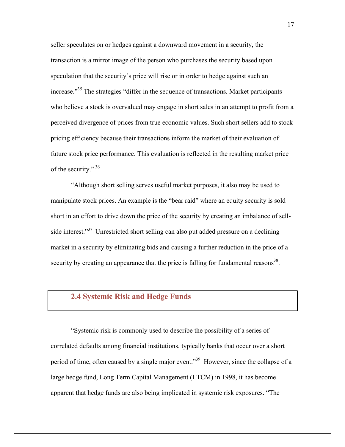seller speculates on or hedges against a downward movement in a security, the transaction is a mirror image of the person who purchases the security based upon speculation that the security's price will rise or in order to hedge against such an increase.<sup>335</sup> The strategies "differ in the sequence of transactions. Market participants who believe a stock is overvalued may engage in short sales in an attempt to profit from a perceived divergence of prices from true economic values. Such short sellers add to stock pricing efficiency because their transactions inform the market of their evaluation of future stock price performance. This evaluation is reflected in the resulting market price of the security."<sup>36</sup>

"Although short selling serves useful market purposes, it also may be used to manipulate stock prices. An example is the "bear raid" where an equity security is sold short in an effort to drive down the price of the security by creating an imbalance of sellside interest."<sup>37</sup> Unrestricted short selling can also put added pressure on a declining market in a security by eliminating bids and causing a further reduction in the price of a security by creating an appearance that the price is falling for fundamental reasons<sup>38</sup>.

## **2.4 Systemic Risk and Hedge Funds**

"Systemic risk is commonly used to describe the possibility of a series of correlated defaults among financial institutions, typically banks that occur over a short period of time, often caused by a single major event."<sup>39</sup> However, since the collapse of a large hedge fund, Long Term Capital Management (LTCM) in 1998, it has become apparent that hedge funds are also being implicated in systemic risk exposures. "The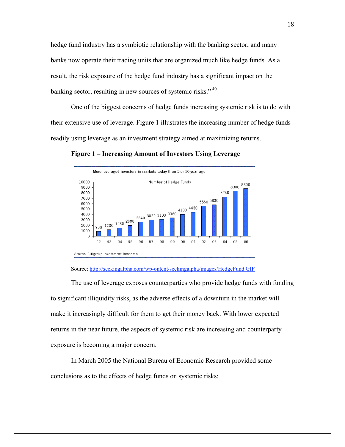hedge fund industry has a symbiotic relationship with the banking sector, and many banks now operate their trading units that are organized much like hedge funds. As a result, the risk exposure of the hedge fund industry has a significant impact on the banking sector, resulting in new sources of systemic risks."  $40$ 

One of the biggest concerns of hedge funds increasing systemic risk is to do with their extensive use of leverage. Figure 1 illustrates the increasing number of hedge funds readily using leverage as an investment strategy aimed at maximizing returns.

More leveraged investors in markets today than 5 or 10 year ago 10000 Number of Hedge Funds 8800 8300 9000 8000 7280 7000 5550 5830 6000  $4100 \begin{array}{c} 4450 \\ -1 \end{array}$  $\begin{array}{r|l} \hline 1200 & 1580 & 2000 & 2640 & 3020 & 3100 & 3360 \\ \hline \end{array}$ 5000 4000 3000 2000 900 1000  $\Omega$ 94 95 96 97 92 93 98 99  $00\,$  $01$ 02 03 04 05 - 06 Source: Citigroup Investment Research

**Figure 1 – Increasing Amount of Investors Using Leverage**

#### Source: http://seekingalpha.com/wp-ontent/seekingalpha/images/HedgeFund.GIF

The use of leverage exposes counterparties who provide hedge funds with funding to significant illiquidity risks, as the adverse effects of a downturn in the market will make it increasingly difficult for them to get their money back. With lower expected returns in the near future, the aspects of systemic risk are increasing and counterparty exposure is becoming a major concern.

In March 2005 the National Bureau of Economic Research provided some conclusions as to the effects of hedge funds on systemic risks: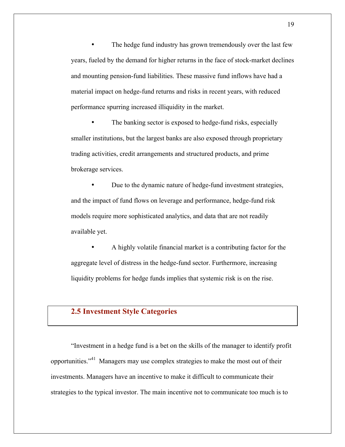The hedge fund industry has grown tremendously over the last few years, fueled by the demand for higher returns in the face of stock-market declines and mounting pension-fund liabilities. These massive fund inflows have had a material impact on hedge-fund returns and risks in recent years, with reduced performance spurring increased illiquidity in the market.

The banking sector is exposed to hedge-fund risks, especially smaller institutions, but the largest banks are also exposed through proprietary trading activities, credit arrangements and structured products, and prime brokerage services.

• Due to the dynamic nature of hedge-fund investment strategies, and the impact of fund flows on leverage and performance, hedge-fund risk models require more sophisticated analytics, and data that are not readily available yet.

• A highly volatile financial market is a contributing factor for the aggregate level of distress in the hedge-fund sector. Furthermore, increasing liquidity problems for hedge funds implies that systemic risk is on the rise.

## **2.5 Investment Style Categories**

"Investment in a hedge fund is a bet on the skills of the manager to identify profit opportunities."41 Managers may use complex strategies to make the most out of their investments. Managers have an incentive to make it difficult to communicate their strategies to the typical investor. The main incentive not to communicate too much is to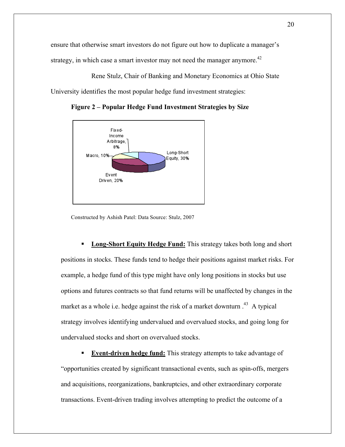ensure that otherwise smart investors do not figure out how to duplicate a manager's strategy, in which case a smart investor may not need the manager anymore.<sup>42</sup>

Rene Stulz, Chair of Banking and Monetary Economics at Ohio State University identifies the most popular hedge fund investment strategies:



**Figure 2 – Popular Hedge Fund Investment Strategies by Size**

Constructed by Ashish Patel: Data Source: Stulz, 2007

 **Long-Short Equity Hedge Fund:** This strategy takes both long and short positions in stocks. These funds tend to hedge their positions against market risks. For example, a hedge fund of this type might have only long positions in stocks but use options and futures contracts so that fund returns will be unaffected by changes in the market as a whole i.e. hedge against the risk of a market downturn  $.43\,$  A typical strategy involves identifying undervalued and overvalued stocks, and going long for undervalued stocks and short on overvalued stocks.

**Event-driven hedge fund:** This strategy attempts to take advantage of "opportunities created by significant transactional events, such as spin-offs, mergers and acquisitions, reorganizations, bankruptcies, and other extraordinary corporate transactions. Event-driven trading involves attempting to predict the outcome of a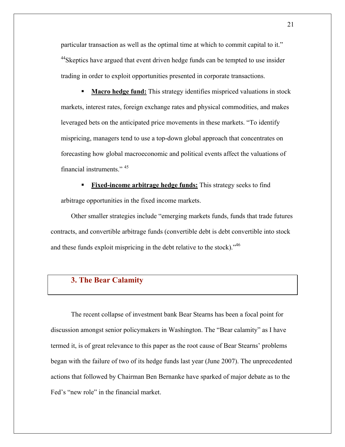particular transaction as well as the optimal time at which to commit capital to it." <sup>44</sup>Skeptics have argued that event driven hedge funds can be tempted to use insider trading in order to exploit opportunities presented in corporate transactions.

 **Macro hedge fund:** This strategy identifies mispriced valuations in stock markets, interest rates, foreign exchange rates and physical commodities, and makes leveraged bets on the anticipated price movements in these markets. "To identify mispricing, managers tend to use a top-down global approach that concentrates on forecasting how global macroeconomic and political events affect the valuations of financial instruments." <sup>45</sup>

 **Fixed-income arbitrage hedge funds:** This strategy seeks to find arbitrage opportunities in the fixed income markets.

Other smaller strategies include "emerging markets funds, funds that trade futures contracts, and convertible arbitrage funds (convertible debt is debt convertible into stock and these funds exploit mispricing in the debt relative to the stock).<sup>46</sup>

## **3. The Bear Calamity**

The recent collapse of investment bank Bear Stearns has been a focal point for discussion amongst senior policymakers in Washington. The "Bear calamity" as I have termed it, is of great relevance to this paper as the root cause of Bear Stearns' problems began with the failure of two of its hedge funds last year (June 2007). The unprecedented actions that followed by Chairman Ben Bernanke have sparked of major debate as to the Fed's "new role" in the financial market.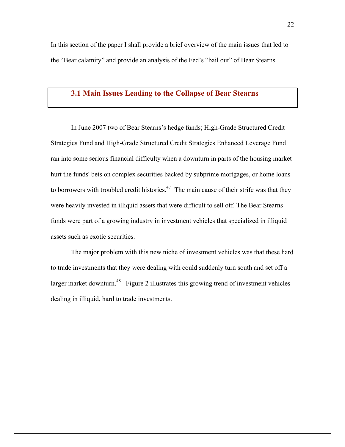In this section of the paper I shall provide a brief overview of the main issues that led to the "Bear calamity" and provide an analysis of the Fed's "bail out" of Bear Stearns.

## **3.1 Main Issues Leading to the Collapse of Bear Stearns**

In June 2007 two of Bear Stearns's hedge funds; High-Grade Structured Credit Strategies Fund and High-Grade Structured Credit Strategies Enhanced Leverage Fund ran into some serious financial difficulty when a downturn in parts of the housing market hurt the funds' bets on complex securities backed by subprime mortgages, or home loans to borrowers with troubled credit histories.<sup>47</sup> The main cause of their strife was that they were heavily invested in illiquid assets that were difficult to sell off. The Bear Stearns funds were part of a growing industry in investment vehicles that specialized in illiquid assets such as exotic securities.

The major problem with this new niche of investment vehicles was that these hard to trade investments that they were dealing with could suddenly turn south and set off a larger market downturn.<sup>48</sup> Figure 2 illustrates this growing trend of investment vehicles dealing in illiquid, hard to trade investments.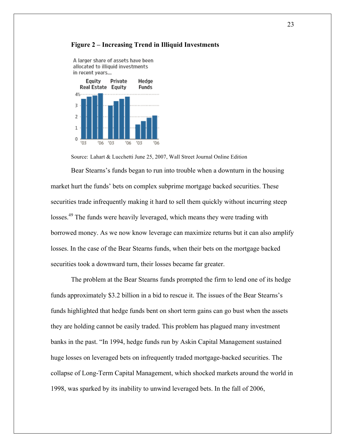

A larger share of assets have been allocated to illiquid investments

#### **Figure 2 – Increasing Trend in Illiquid Investments**

Source: Lahart & Lucchetti June 25, 2007, Wall Street Journal Online Edition

Bear Stearns's funds began to run into trouble when a downturn in the housing market hurt the funds' bets on complex subprime mortgage backed securities. These securities trade infrequently making it hard to sell them quickly without incurring steep losses.<sup>49</sup> The funds were heavily leveraged, which means they were trading with borrowed money. As we now know leverage can maximize returns but it can also amplify losses. In the case of the Bear Stearns funds, when their bets on the mortgage backed securities took a downward turn, their losses became far greater.

The problem at the Bear Stearns funds prompted the firm to lend one of its hedge funds approximately \$3.2 billion in a bid to rescue it. The issues of the Bear Stearns's funds highlighted that hedge funds bent on short term gains can go bust when the assets they are holding cannot be easily traded. This problem has plagued many investment banks in the past. "In 1994, hedge funds run by Askin Capital Management sustained huge losses on leveraged bets on infrequently traded mortgage-backed securities. The collapse of Long-Term Capital Management, which shocked markets around the world in 1998, was sparked by its inability to unwind leveraged bets. In the fall of 2006,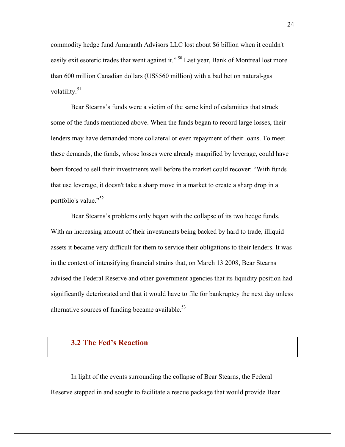commodity hedge fund Amaranth Advisors LLC lost about \$6 billion when it couldn't easily exit esoteric trades that went against it."<sup>50</sup> Last year, Bank of Montreal lost more than 600 million Canadian dollars (US\$560 million) with a bad bet on natural-gas volatility.<sup>51</sup>

Bear Stearns's funds were a victim of the same kind of calamities that struck some of the funds mentioned above. When the funds began to record large losses, their lenders may have demanded more collateral or even repayment of their loans. To meet these demands, the funds, whose losses were already magnified by leverage, could have been forced to sell their investments well before the market could recover: "With funds that use leverage, it doesn't take a sharp move in a market to create a sharp drop in a portfolio's value."<sup>52</sup>

Bear Stearns's problems only began with the collapse of its two hedge funds. With an increasing amount of their investments being backed by hard to trade, illiquid assets it became very difficult for them to service their obligations to their lenders. It was in the context of intensifying financial strains that, on March 13 2008, Bear Stearns advised the Federal Reserve and other government agencies that its liquidity position had significantly deteriorated and that it would have to file for bankruptcy the next day unless alternative sources of funding became available. $53$ 

## **3.2 The Fed's Reaction**

In light of the events surrounding the collapse of Bear Stearns, the Federal Reserve stepped in and sought to facilitate a rescue package that would provide Bear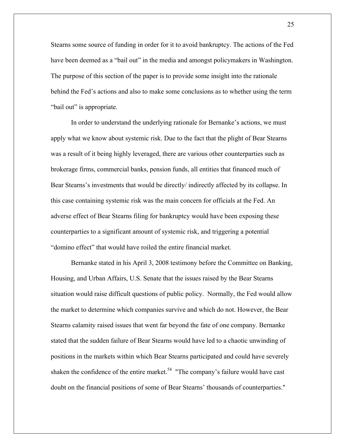Stearns some source of funding in order for it to avoid bankruptcy. The actions of the Fed have been deemed as a "bail out" in the media and amongst policymakers in Washington. The purpose of this section of the paper is to provide some insight into the rationale behind the Fed's actions and also to make some conclusions as to whether using the term "bail out" is appropriate.

In order to understand the underlying rationale for Bernanke's actions, we must apply what we know about systemic risk. Due to the fact that the plight of Bear Stearns was a result of it being highly leveraged, there are various other counterparties such as brokerage firms, commercial banks, pension funds, all entities that financed much of Bear Stearns's investments that would be directly/ indirectly affected by its collapse. In this case containing systemic risk was the main concern for officials at the Fed. An adverse effect of Bear Stearns filing for bankruptcy would have been exposing these counterparties to a significant amount of systemic risk, and triggering a potential "domino effect" that would have roiled the entire financial market.

Bernanke stated in his April 3, 2008 testimony before the Committee on Banking, Housing, and Urban Affairs, U.S. Senate that the issues raised by the Bear Stearns situation would raise difficult questions of public policy. Normally, the Fed would allow the market to determine which companies survive and which do not. However, the Bear Stearns calamity raised issues that went far beyond the fate of one company. Bernanke stated that the sudden failure of Bear Stearns would have led to a chaotic unwinding of positions in the markets within which Bear Stearns participated and could have severely shaken the confidence of the entire market.<sup>54</sup> "The company's failure would have cast doubt on the financial positions of some of Bear Stearns' thousands of counterparties."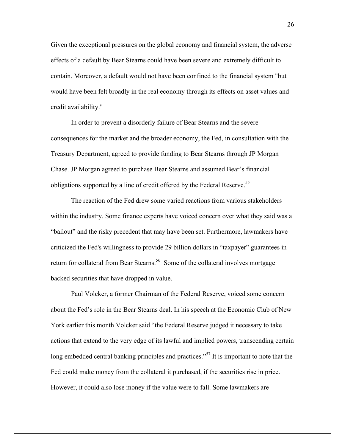Given the exceptional pressures on the global economy and financial system, the adverse effects of a default by Bear Stearns could have been severe and extremely difficult to contain. Moreover, a default would not have been confined to the financial system "but would have been felt broadly in the real economy through its effects on asset values and credit availability."

In order to prevent a disorderly failure of Bear Stearns and the severe consequences for the market and the broader economy, the Fed, in consultation with the Treasury Department, agreed to provide funding to Bear Stearns through JP Morgan Chase. JP Morgan agreed to purchase Bear Stearns and assumed Bear's financial obligations supported by a line of credit offered by the Federal Reserve.<sup>55</sup>

The reaction of the Fed drew some varied reactions from various stakeholders within the industry. Some finance experts have voiced concern over what they said was a "bailout" and the risky precedent that may have been set. Furthermore, lawmakers have criticized the Fed's willingness to provide 29 billion dollars in "taxpayer" guarantees in return for collateral from Bear Stearns.<sup>56</sup> Some of the collateral involves mortgage backed securities that have dropped in value.

Paul Volcker, a former Chairman of the Federal Reserve, voiced some concern about the Fed's role in the Bear Stearns deal. In his speech at the Economic Club of New York earlier this month Volcker said "the Federal Reserve judged it necessary to take actions that extend to the very edge of its lawful and implied powers, transcending certain long embedded central banking principles and practices.<sup>57</sup> It is important to note that the Fed could make money from the collateral it purchased, if the securities rise in price. However, it could also lose money if the value were to fall. Some lawmakers are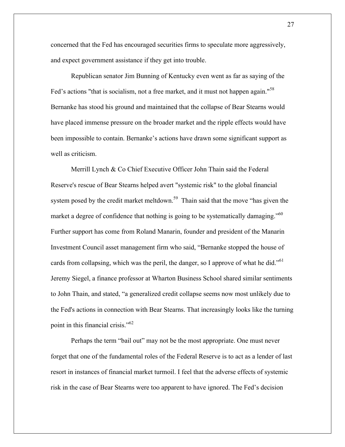concerned that the Fed has encouraged securities firms to speculate more aggressively, and expect government assistance if they get into trouble.

Republican senator Jim Bunning of Kentucky even went as far as saying of the Fed's actions "that is socialism, not a free market, and it must not happen again."<sup>58</sup> Bernanke has stood his ground and maintained that the collapse of Bear Stearns would have placed immense pressure on the broader market and the ripple effects would have been impossible to contain. Bernanke's actions have drawn some significant support as well as criticism.

Merrill Lynch & Co Chief Executive Officer John Thain said the Federal Reserve's rescue of Bear Stearns helped avert "systemic risk" to the global financial system posed by the credit market meltdown.<sup>59</sup> Thain said that the move "has given the market a degree of confidence that nothing is going to be systematically damaging."<sup>60</sup> Further support has come from Roland Manarin, founder and president of the Manarin Investment Council asset management firm who said, "Bernanke stopped the house of cards from collapsing, which was the peril, the danger, so I approve of what he did."<sup>61</sup> Jeremy Siegel, a finance professor at Wharton Business School shared similar sentiments to John Thain, and stated, "a generalized credit collapse seems now most unlikely due to the Fed's actions in connection with Bear Stearns. That increasingly looks like the turning point in this financial crisis."<sup>62</sup>

Perhaps the term "bail out" may not be the most appropriate. One must never forget that one of the fundamental roles of the Federal Reserve is to act as a lender of last resort in instances of financial market turmoil. I feel that the adverse effects of systemic risk in the case of Bear Stearns were too apparent to have ignored. The Fed's decision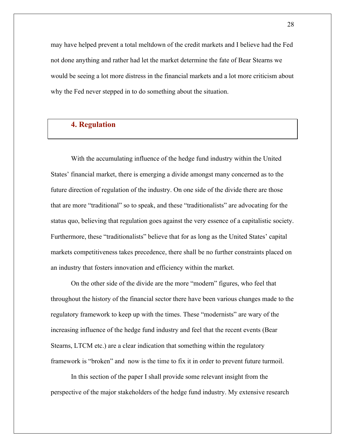may have helped prevent a total meltdown of the credit markets and I believe had the Fed not done anything and rather had let the market determine the fate of Bear Stearns we would be seeing a lot more distress in the financial markets and a lot more criticism about why the Fed never stepped in to do something about the situation.

## **4. Regulation**

With the accumulating influence of the hedge fund industry within the United States' financial market, there is emerging a divide amongst many concerned as to the future direction of regulation of the industry. On one side of the divide there are those that are more "traditional" so to speak, and these "traditionalists" are advocating for the status quo, believing that regulation goes against the very essence of a capitalistic society. Furthermore, these "traditionalists" believe that for as long as the United States' capital markets competitiveness takes precedence, there shall be no further constraints placed on an industry that fosters innovation and efficiency within the market.

On the other side of the divide are the more "modern" figures, who feel that throughout the history of the financial sector there have been various changes made to the regulatory framework to keep up with the times. These "modernists" are wary of the increasing influence of the hedge fund industry and feel that the recent events (Bear Stearns, LTCM etc.) are a clear indication that something within the regulatory framework is "broken" and now is the time to fix it in order to prevent future turmoil.

In this section of the paper I shall provide some relevant insight from the perspective of the major stakeholders of the hedge fund industry. My extensive research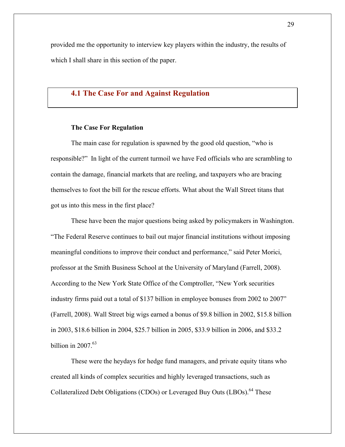provided me the opportunity to interview key players within the industry, the results of which I shall share in this section of the paper.

## **4.1 The Case For and Against Regulation**

## **The Case For Regulation**

The main case for regulation is spawned by the good old question, "who is responsible?" In light of the current turmoil we have Fed officials who are scrambling to contain the damage, financial markets that are reeling, and taxpayers who are bracing themselves to foot the bill for the rescue efforts. What about the Wall Street titans that got us into this mess in the first place?

These have been the major questions being asked by policymakers in Washington. "The Federal Reserve continues to bail out major financial institutions without imposing meaningful conditions to improve their conduct and performance," said Peter Morici, professor at the Smith Business School at the University of Maryland (Farrell, 2008). According to the New York State Office of the Comptroller, "New York securities industry firms paid out a total of \$137 billion in employee bonuses from 2002 to 2007" (Farrell, 2008). Wall Street big wigs earned a bonus of \$9.8 billion in 2002, \$15.8 billion in 2003, \$18.6 billion in 2004, \$25.7 billion in 2005, \$33.9 billion in 2006, and \$33.2 billion in  $2007<sup>63</sup>$ 

These were the heydays for hedge fund managers, and private equity titans who created all kinds of complex securities and highly leveraged transactions, such as Collateralized Debt Obligations (CDOs) or Leveraged Buy Outs (LBOs).<sup>64</sup> These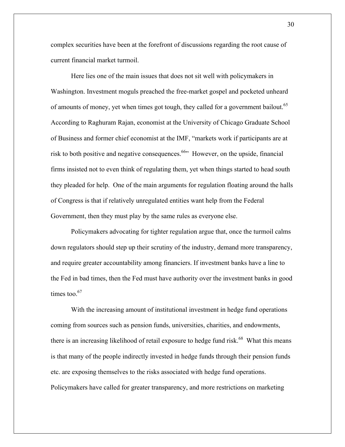complex securities have been at the forefront of discussions regarding the root cause of current financial market turmoil.

Here lies one of the main issues that does not sit well with policymakers in Washington. Investment moguls preached the free-market gospel and pocketed unheard of amounts of money, yet when times got tough, they called for a government bailout.<sup>65</sup> According to Raghuram Rajan, economist at the University of Chicago Graduate School of Business and former chief economist at the IMF, "markets work if participants are at risk to both positive and negative consequences.<sup>66</sup> However, on the upside, financial firms insisted not to even think of regulating them, yet when things started to head south they pleaded for help. One of the main arguments for regulation floating around the halls of Congress is that if relatively unregulated entities want help from the Federal Government, then they must play by the same rules as everyone else.

Policymakers advocating for tighter regulation argue that, once the turmoil calms down regulators should step up their scrutiny of the industry, demand more transparency, and require greater accountability among financiers. If investment banks have a line to the Fed in bad times, then the Fed must have authority over the investment banks in good times too. $67$ 

With the increasing amount of institutional investment in hedge fund operations coming from sources such as pension funds, universities, charities, and endowments, there is an increasing likelihood of retail exposure to hedge fund risk.<sup>68</sup> What this means is that many of the people indirectly invested in hedge funds through their pension funds etc. are exposing themselves to the risks associated with hedge fund operations. Policymakers have called for greater transparency, and more restrictions on marketing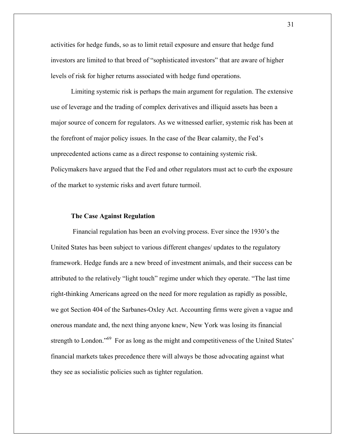activities for hedge funds, so as to limit retail exposure and ensure that hedge fund investors are limited to that breed of "sophisticated investors" that are aware of higher levels of risk for higher returns associated with hedge fund operations.

Limiting systemic risk is perhaps the main argument for regulation. The extensive use of leverage and the trading of complex derivatives and illiquid assets has been a major source of concern for regulators. As we witnessed earlier, systemic risk has been at the forefront of major policy issues. In the case of the Bear calamity, the Fed's unprecedented actions came as a direct response to containing systemic risk. Policymakers have argued that the Fed and other regulators must act to curb the exposure of the market to systemic risks and avert future turmoil.

### **The Case Against Regulation**

Financial regulation has been an evolving process. Ever since the 1930's the United States has been subject to various different changes/ updates to the regulatory framework. Hedge funds are a new breed of investment animals, and their success can be attributed to the relatively "light touch" regime under which they operate. "The last time right-thinking Americans agreed on the need for more regulation as rapidly as possible, we got Section 404 of the Sarbanes-Oxley Act. Accounting firms were given a vague and onerous mandate and, the next thing anyone knew, New York was losing its financial strength to London."<sup>69</sup> For as long as the might and competitiveness of the United States' financial markets takes precedence there will always be those advocating against what they see as socialistic policies such as tighter regulation.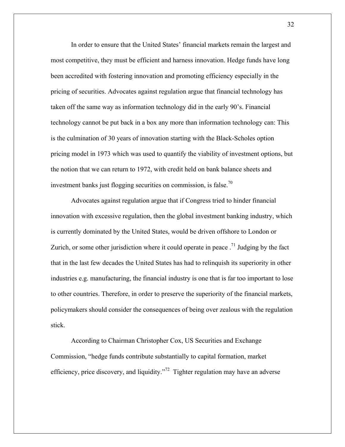In order to ensure that the United States' financial markets remain the largest and most competitive, they must be efficient and harness innovation. Hedge funds have long been accredited with fostering innovation and promoting efficiency especially in the pricing of securities. Advocates against regulation argue that financial technology has taken off the same way as information technology did in the early 90's. Financial technology cannot be put back in a box any more than information technology can: This is the culmination of 30 years of innovation starting with the Black-Scholes option pricing model in 1973 which was used to quantify the viability of investment options, but the notion that we can return to 1972, with credit held on bank balance sheets and investment banks just flogging securities on commission, is false.<sup>70</sup>

Advocates against regulation argue that if Congress tried to hinder financial innovation with excessive regulation, then the global investment banking industry, which is currently dominated by the United States, would be driven offshore to London or Zurich, or some other jurisdiction where it could operate in peace  $17$  Judging by the fact that in the last few decades the United States has had to relinquish its superiority in other industries e.g. manufacturing, the financial industry is one that is far too important to lose to other countries. Therefore, in order to preserve the superiority of the financial markets, policymakers should consider the consequences of being over zealous with the regulation stick.

According to Chairman Christopher Cox, US Securities and Exchange Commission, "hedge funds contribute substantially to capital formation, market efficiency, price discovery, and liquidity.<sup> $272$ </sup> Tighter regulation may have an adverse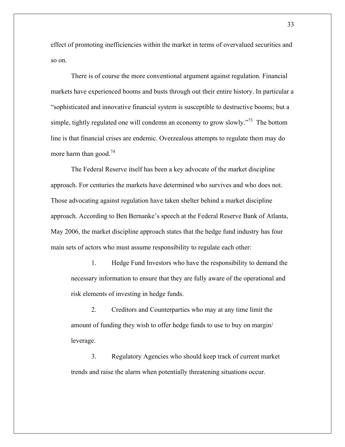effect of promoting inefficiencies within the market in terms of overvalued securities and so on.

There is of course the more conventional argument against regulation. Financial markets have experienced booms and busts through out their entire history. In particular a "sophisticated and innovative financial system is susceptible to destructive booms; but a simple, tightly regulated one will condemn an economy to grow slowly.<sup> $73$ </sup> The bottom line is that financial crises are endemic. Overzealous attempts to regulate them may do more harm than good.<sup>74</sup>

The Federal Reserve itself has been a key advocate of the market discipline approach. For centuries the markets have determined who survives and who does not. Those advocating against regulation have taken shelter behind a market discipline approach. According to Ben Bernanke's speech at the Federal Reserve Bank of Atlanta, May 2006, the market discipline approach states that the hedge fund industry has four main sets of actors who must assume responsibility to regulate each other:

1. Hedge Fund Investors who have the responsibility to demand the necessary information to ensure that they are fully aware of the operational and risk elements of investing in hedge funds.

2. Creditors and Counterparties who may at any time limit the amount of funding they wish to offer hedge funds to use to buy on margin/ leverage.

3. Regulatory Agencies who should keep track of current market trends and raise the alarm when potentially threatening situations occur.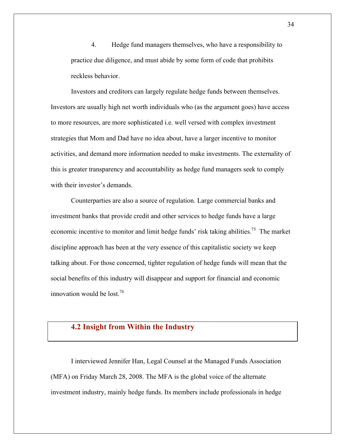4. Hedge fund managers themselves, who have a responsibility to practice due diligence, and must abide by some form of code that prohibits reckless behavior.

Investors and creditors can largely regulate hedge funds between themselves. Investors are usually high net worth individuals who (as the argument goes) have access to more resources, are more sophisticated i.e. well versed with complex investment strategies that Mom and Dad have no idea about, have a larger incentive to monitor activities, and demand more information needed to make investments. The externality of this is greater transparency and accountability as hedge fund managers seek to comply with their investor's demands.

Counterparties are also a source of regulation. Large commercial banks and investment banks that provide credit and other services to hedge funds have a large economic incentive to monitor and limit hedge funds' risk taking abilities.<sup>75</sup> The market discipline approach has been at the very essence of this capitalistic society we keep talking about. For those concerned, tighter regulation of hedge funds will mean that the social benefits of this industry will disappear and support for financial and economic innovation would be lost.<sup>76</sup>

## **4.2 Insight from Within the Industry**

I interviewed Jennifer Han, Legal Counsel at the Managed Funds Association (MFA) on Friday March 28, 2008. The MFA is the global voice of the alternate investment industry, mainly hedge funds. Its members include professionals in hedge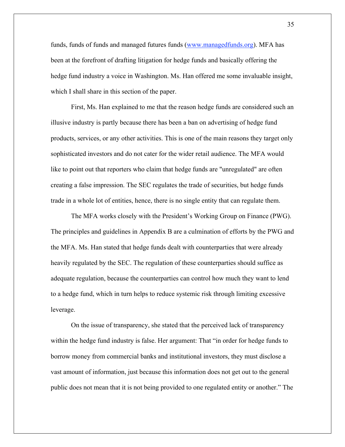funds, funds of funds and managed futures funds (www.managedfunds.org). MFA has been at the forefront of drafting litigation for hedge funds and basically offering the hedge fund industry a voice in Washington. Ms. Han offered me some invaluable insight, which I shall share in this section of the paper.

First, Ms. Han explained to me that the reason hedge funds are considered such an illusive industry is partly because there has been a ban on advertising of hedge fund products, services, or any other activities. This is one of the main reasons they target only sophisticated investors and do not cater for the wider retail audience. The MFA would like to point out that reporters who claim that hedge funds are "unregulated" are often creating a false impression. The SEC regulates the trade of securities, but hedge funds trade in a whole lot of entities, hence, there is no single entity that can regulate them.

The MFA works closely with the President's Working Group on Finance (PWG). The principles and guidelines in Appendix B are a culmination of efforts by the PWG and the MFA. Ms. Han stated that hedge funds dealt with counterparties that were already heavily regulated by the SEC. The regulation of these counterparties should suffice as adequate regulation, because the counterparties can control how much they want to lend to a hedge fund, which in turn helps to reduce systemic risk through limiting excessive leverage.

On the issue of transparency, she stated that the perceived lack of transparency within the hedge fund industry is false. Her argument: That "in order for hedge funds to borrow money from commercial banks and institutional investors, they must disclose a vast amount of information, just because this information does not get out to the general public does not mean that it is not being provided to one regulated entity or another." The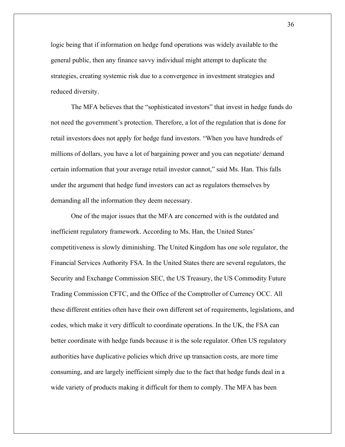logic being that if information on hedge fund operations was widely available to the general public, then any finance savvy individual might attempt to duplicate the strategies, creating systemic risk due to a convergence in investment strategies and reduced diversity.

The MFA believes that the "sophisticated investors" that invest in hedge funds do not need the government's protection. Therefore, a lot of the regulation that is done for retail investors does not apply for hedge fund investors. "When you have hundreds of millions of dollars, you have a lot of bargaining power and you can negotiate/ demand certain information that your average retail investor cannot," said Ms. Han. This falls under the argument that hedge fund investors can act as regulators themselves by demanding all the information they deem necessary.

One of the major issues that the MFA are concerned with is the outdated and inefficient regulatory framework. According to Ms. Han, the United States' competitiveness is slowly diminishing. The United Kingdom has one sole regulator, the Financial Services Authority FSA. In the United States there are several regulators, the Security and Exchange Commission SEC, the US Treasury, the US Commodity Future Trading Commission CFTC, and the Office of the Comptroller of Currency OCC. All these different entities often have their own different set of requirements, legislations, and codes, which make it very difficult to coordinate operations. In the UK, the FSA can better coordinate with hedge funds because it is the sole regulator. Often US regulatory authorities have duplicative policies which drive up transaction costs, are more time consuming, and are largely inefficient simply due to the fact that hedge funds deal in a wide variety of products making it difficult for them to comply. The MFA has been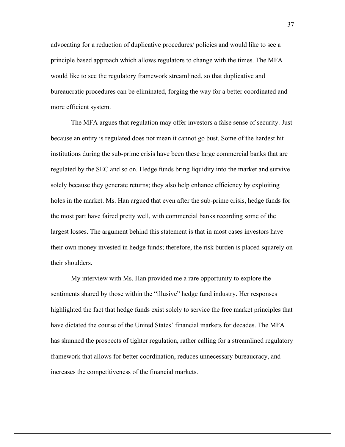advocating for a reduction of duplicative procedures/ policies and would like to see a principle based approach which allows regulators to change with the times. The MFA would like to see the regulatory framework streamlined, so that duplicative and bureaucratic procedures can be eliminated, forging the way for a better coordinated and more efficient system.

The MFA argues that regulation may offer investors a false sense of security. Just because an entity is regulated does not mean it cannot go bust. Some of the hardest hit institutions during the sub-prime crisis have been these large commercial banks that are regulated by the SEC and so on. Hedge funds bring liquidity into the market and survive solely because they generate returns; they also help enhance efficiency by exploiting holes in the market. Ms. Han argued that even after the sub-prime crisis, hedge funds for the most part have faired pretty well, with commercial banks recording some of the largest losses. The argument behind this statement is that in most cases investors have their own money invested in hedge funds; therefore, the risk burden is placed squarely on their shoulders.

My interview with Ms. Han provided me a rare opportunity to explore the sentiments shared by those within the "illusive" hedge fund industry. Her responses highlighted the fact that hedge funds exist solely to service the free market principles that have dictated the course of the United States' financial markets for decades. The MFA has shunned the prospects of tighter regulation, rather calling for a streamlined regulatory framework that allows for better coordination, reduces unnecessary bureaucracy, and increases the competitiveness of the financial markets.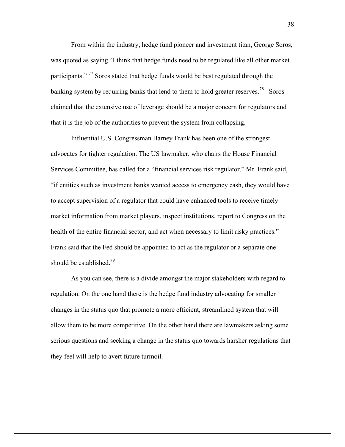From within the industry, hedge fund pioneer and investment titan, George Soros, was quoted as saying "I think that hedge funds need to be regulated like all other market participants."<sup>77</sup> Soros stated that hedge funds would be best regulated through the banking system by requiring banks that lend to them to hold greater reserves.<sup>78</sup> Soros claimed that the extensive use of leverage should be a major concern for regulators and that it is the job of the authorities to prevent the system from collapsing.

Influential U.S. Congressman Barney Frank has been one of the strongest advocates for tighter regulation. The US lawmaker, who chairs the House Financial Services Committee, has called for a "financial services risk regulator." Mr. Frank said, "if entities such as investment banks wanted access to emergency cash, they would have to accept supervision of a regulator that could have enhanced tools to receive timely market information from market players, inspect institutions, report to Congress on the health of the entire financial sector, and act when necessary to limit risky practices." Frank said that the Fed should be appointed to act as the regulator or a separate one should be established.<sup>79</sup>

As you can see, there is a divide amongst the major stakeholders with regard to regulation. On the one hand there is the hedge fund industry advocating for smaller changes in the status quo that promote a more efficient, streamlined system that will allow them to be more competitive. On the other hand there are lawmakers asking some serious questions and seeking a change in the status quo towards harsher regulations that they feel will help to avert future turmoil.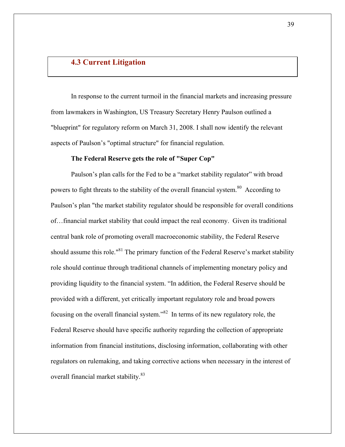## **4.3 Current Litigation**

In response to the current turmoil in the financial markets and increasing pressure from lawmakers in Washington, US Treasury Secretary Henry Paulson outlined a "blueprint" for regulatory reform on March 31, 2008. I shall now identify the relevant aspects of Paulson's "optimal structure" for financial regulation.

## **The Federal Reserve gets the role of "Super Cop"**

Paulson's plan calls for the Fed to be a "market stability regulator" with broad powers to fight threats to the stability of the overall financial system.<sup>80</sup> According to Paulson's plan "the market stability regulator should be responsible for overall conditions of…financial market stability that could impact the real economy. Given its traditional central bank role of promoting overall macroeconomic stability, the Federal Reserve should assume this role."<sup>81</sup> The primary function of the Federal Reserve's market stability role should continue through traditional channels of implementing monetary policy and providing liquidity to the financial system. "In addition, the Federal Reserve should be provided with a different, yet critically important regulatory role and broad powers focusing on the overall financial system."82 In terms of its new regulatory role, the Federal Reserve should have specific authority regarding the collection of appropriate information from financial institutions, disclosing information, collaborating with other regulators on rulemaking, and taking corrective actions when necessary in the interest of overall financial market stability.<sup>83</sup>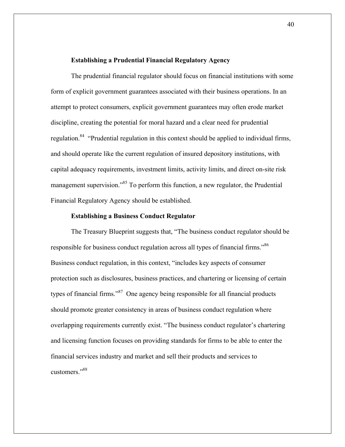#### **Establishing a Prudential Financial Regulatory Agency**

The prudential financial regulator should focus on financial institutions with some form of explicit government guarantees associated with their business operations. In an attempt to protect consumers, explicit government guarantees may often erode market discipline, creating the potential for moral hazard and a clear need for prudential regulation.<sup>84</sup> "Prudential regulation in this context should be applied to individual firms, and should operate like the current regulation of insured depository institutions, with capital adequacy requirements, investment limits, activity limits, and direct on-site risk management supervision."85 To perform this function, a new regulator, the Prudential Financial Regulatory Agency should be established.

### **Establishing a Business Conduct Regulator**

The Treasury Blueprint suggests that, "The business conduct regulator should be responsible for business conduct regulation across all types of financial firms."<sup>86</sup> Business conduct regulation, in this context, "includes key aspects of consumer protection such as disclosures, business practices, and chartering or licensing of certain types of financial firms."<sup>87</sup> One agency being responsible for all financial products should promote greater consistency in areas of business conduct regulation where overlapping requirements currently exist. "The business conduct regulator's chartering and licensing function focuses on providing standards for firms to be able to enter the financial services industry and market and sell their products and services to customers<sup>"88</sup>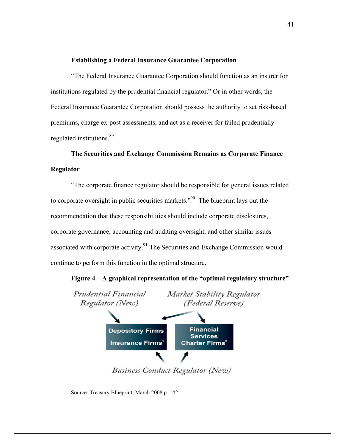## **Establishing a Federal Insurance Guarantee Corporation**

"The Federal Insurance Guarantee Corporation should function as an insurer for institutions regulated by the prudential financial regulator." Or in other words, the Federal Insurance Guarantee Corporation should possess the authority to set risk-based premiums, charge ex-post assessments, and act as a receiver for failed prudentially regulated institutions. 89

**The Securities and Exchange Commission Remains as Corporate Finance Regulator**

"The corporate finance regulator should be responsible for general issues related to corporate oversight in public securities markets.<sup>"90</sup> The blueprint lays out the recommendation that these responsibilities should include corporate disclosures, corporate governance, accounting and auditing oversight, and other similar issues associated with corporate activity. $91$  The Securities and Exchange Commission would continue to perform this function in the optimal structure.





Business Conduct Regulator (New)

Source: Treasury Blueprint, March 2008 p. 142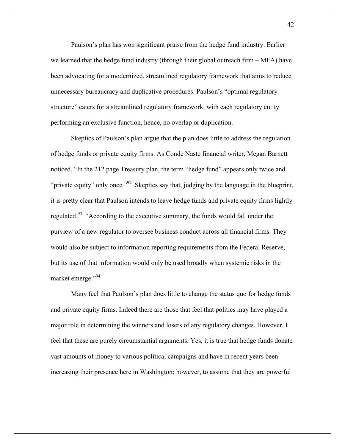Paulson's plan has won significant praise from the hedge fund industry. Earlier we learned that the hedge fund industry (through their global outreach firm – MFA) have been advocating for a modernized, streamlined regulatory framework that aims to reduce unnecessary bureaucracy and duplicative procedures. Paulson's "optimal regulatory structure" caters for a streamlined regulatory framework, with each regulatory entity performing an exclusive function, hence, no overlap or duplication.

Skeptics of Paulson's plan argue that the plan does little to address the regulation of hedge funds or private equity firms. As Conde Naste financial writer, Megan Barnett noticed, "In the 212 page Treasury plan, the term "hedge fund" appears only twice and "private equity" only once."<sup>92</sup> Skeptics say that, judging by the language in the blueprint, it is pretty clear that Paulson intends to leave hedge funds and private equity firms lightly regulated.<sup>93</sup> "According to the executive summary, the funds would fall under the purview of a new regulator to oversee business conduct across all financial firms. They would also be subject to information reporting requirements from the Federal Reserve, but its use of that information would only be used broadly when systemic risks in the market emerge."<sup>94</sup>

Many feel that Paulson's plan does little to change the status quo for hedge funds and private equity firms. Indeed there are those that feel that politics may have played a major role in determining the winners and losers of any regulatory changes. However, I feel that these are purely circumstantial arguments. Yes, it is true that hedge funds donate vast amounts of money to various political campaigns and have in recent years been increasing their presence here in Washington; however, to assume that they are powerful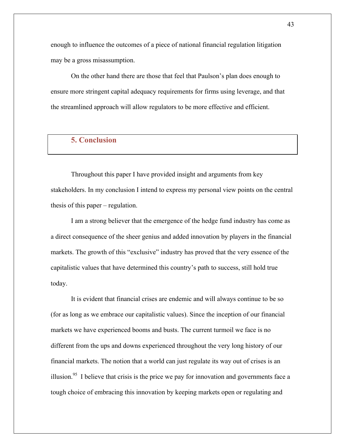enough to influence the outcomes of a piece of national financial regulation litigation may be a gross misassumption.

On the other hand there are those that feel that Paulson's plan does enough to ensure more stringent capital adequacy requirements for firms using leverage, and that the streamlined approach will allow regulators to be more effective and efficient.

## **5. Conclusion**

Throughout this paper I have provided insight and arguments from key stakeholders. In my conclusion I intend to express my personal view points on the central thesis of this paper – regulation.

I am a strong believer that the emergence of the hedge fund industry has come as a direct consequence of the sheer genius and added innovation by players in the financial markets. The growth of this "exclusive" industry has proved that the very essence of the capitalistic values that have determined this country's path to success, still hold true today.

It is evident that financial crises are endemic and will always continue to be so (for as long as we embrace our capitalistic values). Since the inception of our financial markets we have experienced booms and busts. The current turmoil we face is no different from the ups and downs experienced throughout the very long history of our financial markets. The notion that a world can just regulate its way out of crises is an illusion.<sup>95</sup> I believe that crisis is the price we pay for innovation and governments face a tough choice of embracing this innovation by keeping markets open or regulating and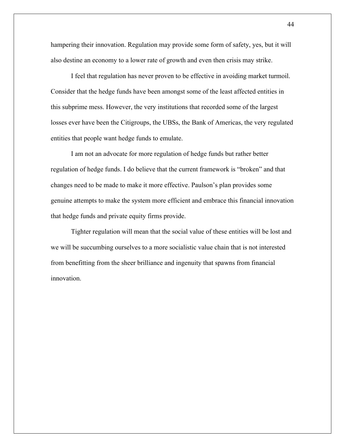hampering their innovation. Regulation may provide some form of safety, yes, but it will also destine an economy to a lower rate of growth and even then crisis may strike.

I feel that regulation has never proven to be effective in avoiding market turmoil. Consider that the hedge funds have been amongst some of the least affected entities in this subprime mess. However, the very institutions that recorded some of the largest losses ever have been the Citigroups, the UBSs, the Bank of Americas, the very regulated entities that people want hedge funds to emulate.

I am not an advocate for more regulation of hedge funds but rather better regulation of hedge funds. I do believe that the current framework is "broken" and that changes need to be made to make it more effective. Paulson's plan provides some genuine attempts to make the system more efficient and embrace this financial innovation that hedge funds and private equity firms provide.

Tighter regulation will mean that the social value of these entities will be lost and we will be succumbing ourselves to a more socialistic value chain that is not interested from benefitting from the sheer brilliance and ingenuity that spawns from financial innovation.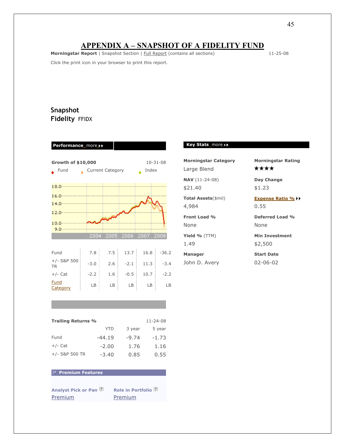## **APPENDIX A – SNAPSHOT OF A FIDELITY FUND**

**Morningstar Report** | Snapshot Section | Full Report (contains all sections) 11-25-08

Click the print icon in your browser to print this report.

## **Snapshot Fidelity** FFIDX

**Performance** more

| $10 - 31 - 08$<br>Growth of \$10,000 |        |      |        |      |         |  |  |
|--------------------------------------|--------|------|--------|------|---------|--|--|
| Fund                                 | Index  |      |        |      |         |  |  |
|                                      |        |      |        |      |         |  |  |
|                                      |        |      |        |      |         |  |  |
|                                      |        |      |        |      |         |  |  |
|                                      |        |      |        |      |         |  |  |
|                                      |        |      |        |      |         |  |  |
| 9.0                                  |        |      |        |      |         |  |  |
|                                      | 2004   | 2005 | 2006   | 2007 | 2008    |  |  |
|                                      |        |      |        |      |         |  |  |
| Fund                                 | 7.8    | 7.5  | 13.7   | 16.8 | $-36.2$ |  |  |
| $+/-$ S&P 500<br><b>TR</b>           | $-3.0$ | 2.6  | $-2.1$ | 11.3 | $-3.4$  |  |  |
| $+/-$ Cat                            | $-2.2$ | 1.6  | $-0.5$ | 10.7 | $-2.2$  |  |  |
| Fund<br><b>Category</b>              | LB     | LB   | LB     | LВ   | LB      |  |  |

#### **Key Stats** more

Large Blend

\$21.40 \$1.23

**Total Assets**(\$mil) **Expense Ratio %** 4,984 0.55

None None

**Manager Start Date**

John D. Avery 02-06-02

**Morningstar Category Morningstar Rating** \*\*\*\*

**NAV** (11-24-08) **Day Change**

**Front Load % Deferred Load %**

**Yield %** (TTM) **Min Investment** 1.49 \$2,500

#### **Trailing Returns %** 11-24-08

|                  | YTD      | 3 year  | 5 year  |
|------------------|----------|---------|---------|
| Fund             | $-44.19$ | $-9.74$ | $-1.73$ |
| $+/-$ Cat        | $-2.00$  | 1.76    | 1.16    |
| $+/-$ S&P 500 TR | $-3.40$  | 0.85    | 0.55    |

## **Premium Features**

**analyst report**

**Analyst Pick or Pan Role in Portfolio** Premium Premium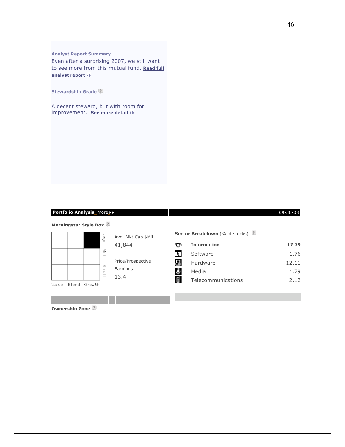#### **Analyst Report Summary**

Even after a surprising 2007, we still want to see more from this mutual fund. **Read full analyst report**

**Stewardship Grade**

A decent steward, but with room for improvement. **See more detail**

## **Portfolio Analysis\_more ▶▶** 2009-20-08 20-08 20-08 20-08 20-08 20-08 20-08 20-08 20-08 20-08 20-08 20-08 20-08 20-08

Avg. Mkt Cap \$Mil

Price/Prospective

41,844

Earnings 13.4

 $\blacktriangleright$ 

#### **Morningstar Style Box**



Value Blend Growth

**Ownership Zone** 



**Sector Breakdown** (% of stocks)

| ᠊᠊ᡡ | <b>Information</b> | 17.79 |
|-----|--------------------|-------|
| LR. | Software           | 1.76  |
| 口   | Hardware           | 12.11 |
|     | Media              | 1.79  |
|     | Telecommunications | 2.12  |



Ġ

ηs.

国 \$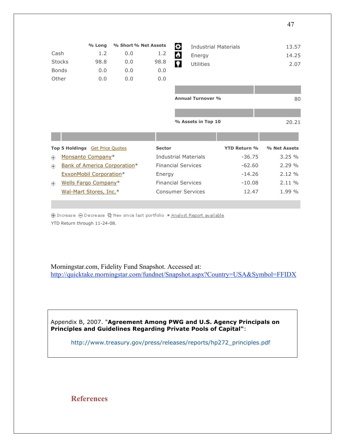|               |                                        | % Long                         | % Short % Net Assets         |               | ≎<br><b>Industrial Materials</b> |                     | 13.57        |
|---------------|----------------------------------------|--------------------------------|------------------------------|---------------|----------------------------------|---------------------|--------------|
| Cash          |                                        | 1.2                            | 0.0                          | 1.2           | $\bullet$<br>Energy              |                     | 14.25        |
| <b>Stocks</b> |                                        | 98.8                           | 0.0                          | 98.8          | О<br><b>Utilities</b>            |                     | 2.07         |
| <b>Bonds</b>  |                                        | 0.0                            | 0.0                          | 0.0           |                                  |                     |              |
| Other         |                                        | 0.0                            | 0.0                          | 0.0           |                                  |                     |              |
|               |                                        |                                |                              |               |                                  |                     |              |
|               |                                        |                                |                              |               | <b>Annual Turnover %</b>         |                     | 80           |
|               |                                        |                                |                              |               |                                  |                     |              |
|               |                                        |                                |                              |               | % Assets in Top 10               |                     | 20.21        |
|               |                                        |                                |                              |               |                                  |                     |              |
|               | Top 5 Holdings <b>Get Price Quotes</b> |                                |                              | <b>Sector</b> |                                  | <b>YTD Return %</b> | % Net Assets |
| ⊕             |                                        | Monsanto Company*              |                              |               | <b>Industrial Materials</b>      | $-36.75$            | 3.25%        |
| ⊕             |                                        |                                | Bank of America Corporation* |               | <b>Financial Services</b>        | $-62.60$            | 2.29%        |
|               |                                        | <b>ExxonMobil Corporation*</b> |                              | Energy        |                                  | $-14.26$            | 2.12%        |
| ⊕             |                                        | Wells Fargo Company*           |                              |               | <b>Financial Services</b>        | $-10.08$            | 2.11%        |
|               |                                        | Wal-Mart Stores, Inc.*         |                              |               | <b>Consumer Services</b>         | 12.47               | 1.99 %       |
|               |                                        |                                |                              |               |                                  |                     |              |

⊕ Increase ⊝ Decrease ☆ New since last portfolio \* Analyst Report available YTD Return through 11-24-08.

Morningstar.com, Fidelity Fund Snapshot. Accessed at: http://quicktake.morningstar.com/fundnet/Snapshot.aspx?Country=USA&Symbol=FFIDX

Appendix B, 2007. "**Agreement Among PWG and U.S. Agency Principals on Principles and Guidelines Regarding Private Pools of Capital"**:

http://www.treasury.gov/press/releases/reports/hp272\_principles.pdf

**References**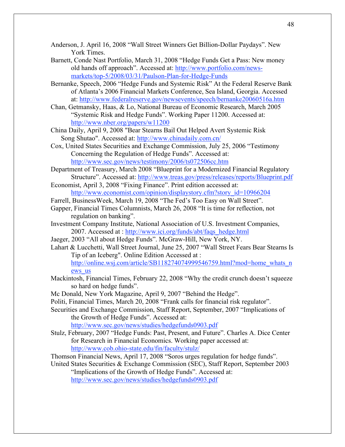- Anderson, J. April 16, 2008 "Wall Street Winners Get Billion-Dollar Paydays". New York Times.
- Barnett, Conde Nast Portfolio, March 31, 2008 "Hedge Funds Get a Pass: New money old hands off approach". Accessed at: http://www.portfolio.com/newsmarkets/top-5/2008/03/31/Paulson-Plan-for-Hedge-Funds
- Bernanke, Speech, 2006 "Hedge Funds and Systemic Risk" At the Federal Reserve Bank of Atlanta's 2006 Financial Markets Conference, Sea Island, Georgia. Accessed at: http://www.federalreserve.gov/newsevents/speech/bernanke20060516a.htm
- Chan, Getmansky, Haas, & Lo, National Bureau of Economic Research, March 2005 "Systemic Risk and Hedge Funds". Working Paper 11200. Accessed at: http://www.nber.org/papers/w11200
- China Daily, April 9, 2008 "Bear Stearns Bail Out Helped Avert Systemic Risk Song Shutao". Accessed at: http://www.chinadaily.com.cn/
- Cox, United States Securities and Exchange Commission, July 25, 2006 "Testimony Concerning the Regulation of Hedge Funds". Accessed at: http://www.sec.gov/news/testimony/2006/ts072506cc.htm
- Department of Treasury, March 2008 "Blueprint for a Modernized Financial Regulatory Structure". Accessed at: http://www.treas.gov/press/releases/reports/Blueprint.pdf
- Economist, April 3, 2008 "Fixing Finance". Print edition accessed at: http://www.economist.com/opinion/displaystory.cfm?story\_id=10966204
- Farrell, BusinessWeek, March 19, 2008 "The Fed's Too Easy on Wall Street".
- Gapper, Financial Times Columnists, March 26, 2008 "It is time for reflection, not regulation on banking".
- Investment Company Institute, National Association of U.S. Investment Companies, 2007. Accessed at : http://www.ici.org/funds/abt/faqs\_hedge.html
- Jaeger, 2003 "All about Hedge Funds". McGraw-Hill, New York, NY.
- Lahart & Lucchetti, Wall Street Journal, June 25, 2007 "Wall Street Fears Bear Stearns Is Tip of an Iceberg". Online Edition Accessed at :

http://online.wsj.com/article/SB118274074999546759.html?mod=home\_whats\_n ews\_us

- Mackintosh, Financial Times, February 22, 2008 "Why the credit crunch doesn't squeeze so hard on hedge funds".
- Mc Donald, New York Magazine, April 9, 2007 "Behind the Hedge".
- Politi, Financial Times, March 20, 2008 "Frank calls for financial risk regulator".

Securities and Exchange Commission, Staff Report, September, 2007 "Implications of the Growth of Hedge Funds". Accessed at:

http://www.sec.gov/news/studies/hedgefunds0903.pdf

Stulz, February, 2007 "Hedge Funds: Past, Present, and Future". Charles A. Dice Center for Research in Financial Economics. Working paper accessed at: http://www.cob.ohio-state.edu/fin/faculty/stulz/

Thomson Financial News, April 17, 2008 "Soros urges regulation for hedge funds".

United States Securities & Exchange Commission (SEC), Staff Report, September 2003 "Implications of the Growth of Hedge Funds". Accessed at: http://www.sec.gov/news/studies/hedgefunds0903.pdf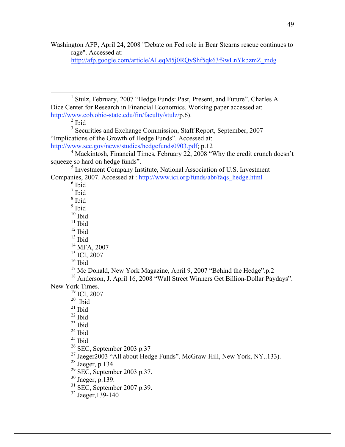Washington AFP, April 24, 2008 "Debate on Fed role in Bear Stearns rescue continues to rage". Accessed at:

http://afp.google.com/article/ALeqM5j0RQyShf5qk63f9wLnYkbzmZ\_mdg

<u>1</u> <sup>1</sup> Stulz, February, 2007 "Hedge Funds: Past, Present, and Future". Charles A. Dice Center for Research in Financial Economics. Working paper accessed at: http://www.cob.ohio-state.edu/fin/faculty/stulz/p.6).

 $<sup>2</sup>$  Ibid</sup>

<sup>3</sup> Securities and Exchange Commission, Staff Report, September, 2007 "Implications of the Growth of Hedge Funds". Accessed at: http://www.sec.gov/news/studies/hedgefunds0903.pdf; p.12

<sup>5</sup> Investment Company Institute, National Association of U.S. Investment Companies, 2007. Accessed at : http://www.ici.org/funds/abt/faqs\_hedge.html

6 Ibid

7 Ibid

8 Ibid

<sup>9</sup> Ibid  $10$  Ibid

 $11$  Ibid

 $12$  Ibid

 $13$  Ibid

14 MFA, 2007

<sup>15</sup> ICI, 2007

 $16$  Ibid

<sup>17</sup> Mc Donald, New York Magazine, April 9, 2007 "Behind the Hedge".p.2

<sup>18</sup> Anderson, J. April 16, 2008 "Wall Street Winners Get Billion-Dollar Paydays". New York Times.

19 ICI, 2007

 $20$  Ibid

 $21$  Ibid

 $22$  Ibid

 $23$  Ibid

 $24$  Ibid

 $25$  Ibid

26 SEC, September 2003 p.37

<sup>27</sup> Jaeger2003 "All about Hedge Funds". McGraw-Hill, New York, NY..133).

 $^{28}$  Jaeger, p.134

 $^{29}$  SEC, September 2003 p.37.<br><sup>30</sup> Jaeger, p.139.

 $rac{31}{32}$  SEC, September 2007 p.39.

<sup>&</sup>lt;sup>4</sup> Mackintosh, Financial Times, February 22, 2008 "Why the credit crunch doesn't squeeze so hard on hedge funds".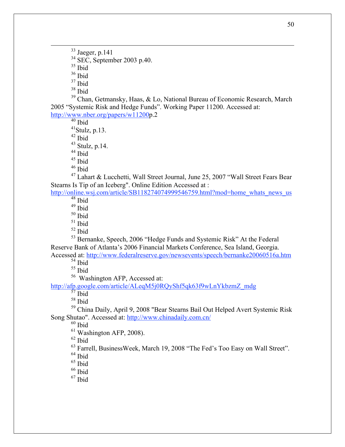$33$  Jaeger, p.141

 $rac{34}{35}$  SEC, September 2003 p.40.<br> $rac{35}{10}$ 

36 Ibid

37 Ibid

 $38$  Ibid

<sup>39</sup> Chan, Getmansky, Haas, & Lo, National Bureau of Economic Research, March 2005 "Systemic Risk and Hedge Funds". Working Paper 11200. Accessed at: http://www.nber.org/papers/w11200p.2

 $40$  Ibid

 $41$ Stulz, p.13.

 $42$  Ibid

 $^{43}_{44}$  Stulz, p.14.

45 Ibid

46 Ibid

<sup>47</sup> Lahart & Lucchetti, Wall Street Journal, June 25, 2007 "Wall Street Fears Bear Stearns Is Tip of an Iceberg". Online Edition Accessed at :

## http://online.wsj.com/article/SB118274074999546759.html?mod=home\_whats\_news\_us\_ 48 Ibid

49 Ibid

50 Ibid

 $51$  Ibid

52 Ibid

<sup>53</sup> Bernanke, Speech, 2006 "Hedge Funds and Systemic Risk" At the Federal Reserve Bank of Atlanta's 2006 Financial Markets Conference, Sea Island, Georgia.

Accessed at: http://www.federalreserve.gov/newsevents/speech/bernanke20060516a.htm  $54$  Ibid

55 Ibid

56 Washington AFP, Accessed at:

http://afp.google.com/article/ALeqM5j0RQyShf5qk63f9wLnYkbzmZ\_mdg

 $57$  Ibid

58 Ibid

59 China Daily, April 9, 2008 "Bear Stearns Bail Out Helped Avert Systemic Risk Song Shutao". Accessed at: http://www.chinadaily.com.cn/

 $60$  Ibid

<sup>61</sup> Washington AFP, 2008).

 $62$  Ibid

63 Farrell, BusinessWeek, March 19, 2008 "The Fed's Too Easy on Wall Street".

 $64$  Ibid

<sup>65</sup> Ibid

 $66$  Ibid

 $67$  Ibid